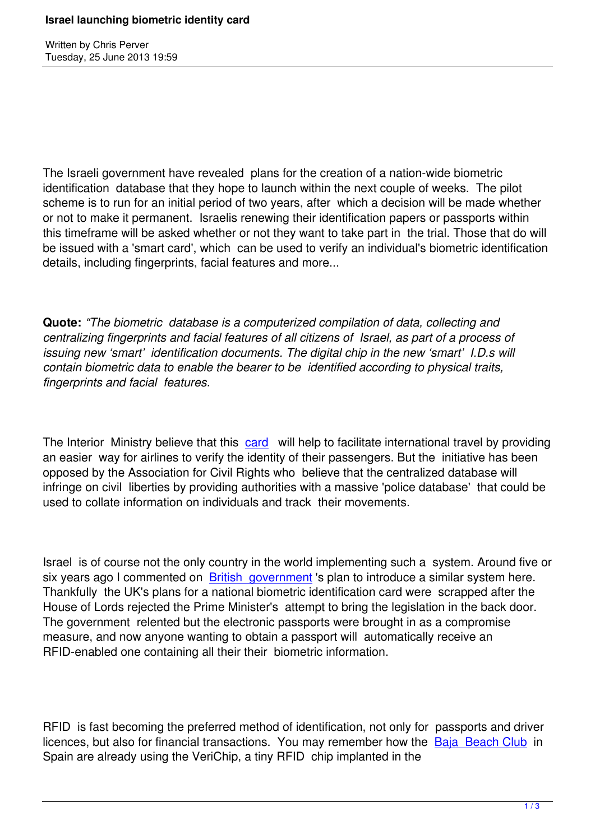Written by Christian by Christian by Christian by Christian by Christian by Christian by Chris Perus

The Israeli government have revealed plans for the creation of a nation-wide biometric identification database that they hope to launch within the next couple of weeks. The pilot scheme is to run for an initial period of two years, after which a decision will be made whether or not to make it permanent. Israelis renewing their identification papers or passports within this timeframe will be asked whether or not they want to take part in the trial. Those that do will be issued with a 'smart card', which can be used to verify an individual's biometric identification details, including fingerprints, facial features and more...

**Quote:** *"The biometric database is a computerized compilation of data, collecting and centralizing fingerprints and facial features of all citizens of Israel, as part of a process of issuing new 'smart' identification documents. The digital chip in the new 'smart' I.D.s will contain biometric data to enable the bearer to be identified according to physical traits, fingerprints and facial features.*

The Interior Ministry believe that this card will help to facilitate international travel by providing an easier way for airlines to verify the identity of their passengers. But the initiative has been opposed by the Association for Civil Rights who believe that the centralized database will infringe on civil liberties by providing [autho](http://www.haaretz.com/news/national/israel-s-biometric-database-to-begin-operating-in-two-weeks-1.531796?localLinksEnabled=false)rities with a massive 'police database' that could be used to collate information on individuals and track their movements.

Israel is of course not the only country in the world implementing such a system. Around five or six years ago I commented on British government 's plan to introduce a similar system here. Thankfully the UK's plans for a national biometric identification card were scrapped after the House of Lords rejected the Prime Minister's attempt to bring the legislation in the back door. The government relented but t[he electronic passpo](https://www.prophecynews.co.uk/technology/551-britain-to-develop-eu-wide-identification-card)rts were brought in as a compromise measure, and now anyone wanting to obtain a passport will automatically receive an RFID-enabled one containing all their their biometric information.

RFID is fast becoming the preferred method of identification, not only for passports and driver licences, but also for financial transactions. You may remember how the Baja Beach Club in Spain are already using the VeriChip, a tiny RFID chip implanted in the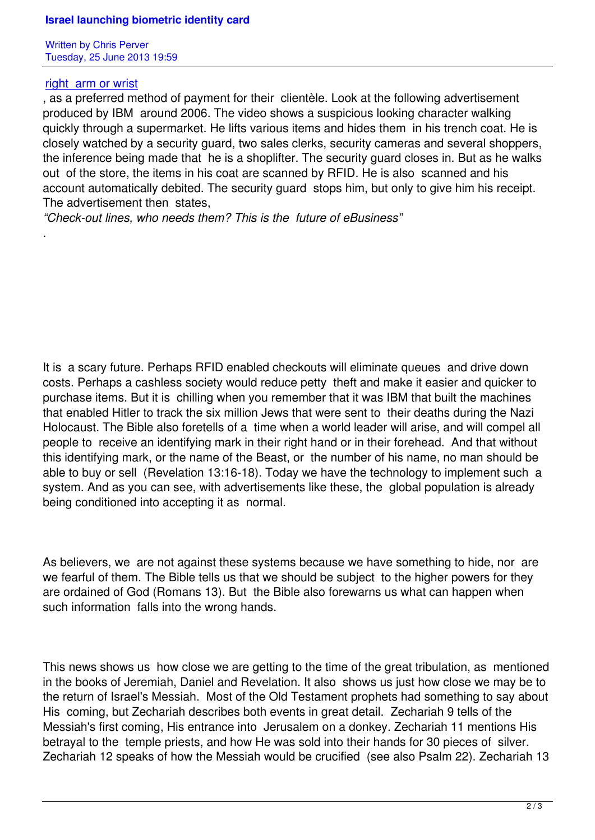## right arm or wrist

.

, as a preferred method of payment for their clientèle. Look at the following advertisement produced by IBM around 2006. The video shows a suspicious looking character walking [quickly through a s](https://www.prophecynews.co.uk/technology/1137-columnist-admits-verichip-often-implanted-in-wrist)upermarket. He lifts various items and hides them in his trench coat. He is closely watched by a security guard, two sales clerks, security cameras and several shoppers, the inference being made that he is a shoplifter. The security guard closes in. But as he walks out of the store, the items in his coat are scanned by RFID. He is also scanned and his account automatically debited. The security guard stops him, but only to give him his receipt. The advertisement then states,

*"Check-out lines, who needs them? This is the future of eBusiness"*

It is a scary future. Perhaps RFID enabled checkouts will eliminate queues and drive down costs. Perhaps a cashless society would reduce petty theft and make it easier and quicker to purchase items. But it is chilling when you remember that it was IBM that built the machines that enabled Hitler to track the six million Jews that were sent to their deaths during the Nazi Holocaust. The Bible also foretells of a time when a world leader will arise, and will compel all people to receive an identifying mark in their right hand or in their forehead. And that without this identifying mark, or the name of the Beast, or the number of his name, no man should be able to buy or sell (Revelation 13:16-18). Today we have the technology to implement such a system. And as you can see, with advertisements like these, the global population is already being conditioned into accepting it as normal.

As believers, we are not against these systems because we have something to hide, nor are we fearful of them. The Bible tells us that we should be subject to the higher powers for they are ordained of God (Romans 13). But the Bible also forewarns us what can happen when such information falls into the wrong hands.

This news shows us how close we are getting to the time of the great tribulation, as mentioned in the books of Jeremiah, Daniel and Revelation. It also shows us just how close we may be to the return of Israel's Messiah. Most of the Old Testament prophets had something to say about His coming, but Zechariah describes both events in great detail. Zechariah 9 tells of the Messiah's first coming, His entrance into Jerusalem on a donkey. Zechariah 11 mentions His betrayal to the temple priests, and how He was sold into their hands for 30 pieces of silver. Zechariah 12 speaks of how the Messiah would be crucified (see also Psalm 22). Zechariah 13